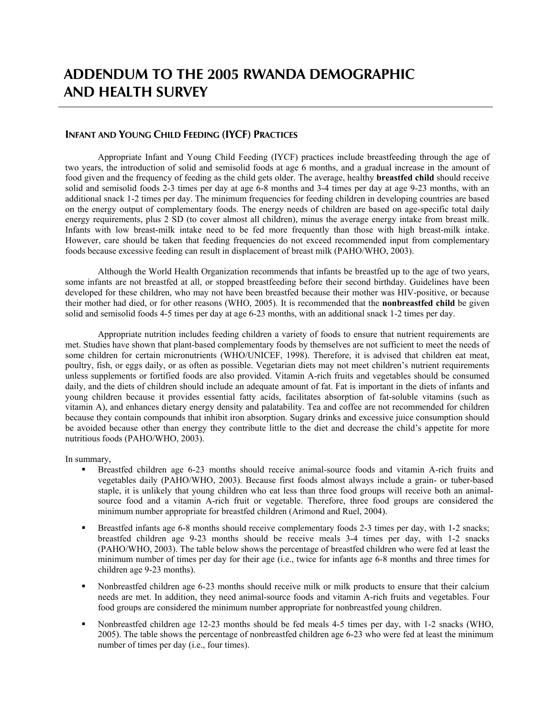## **ADDENDUM TO THE 2005 RWANDA DEMOGRAPHIC AND HEALTH SURVEY**

## **INFANT AND YOUNG CHILD FEEDING (IYCF) PRACTICES**

Appropriate Infant and Young Child Feeding (IYCF) practices include breastfeeding through the age of two years, the introduction of solid and semisolid foods at age 6 months, and a gradual increase in the amount of food given and the frequency of feeding as the child gets older. The average, healthy **breastfed child** should receive solid and semisolid foods 2-3 times per day at age 6-8 months and 3-4 times per day at age 9-23 months, with an additional snack 1-2 times per day. The minimum frequencies for feeding children in developing countries are based on the energy output of complementary foods. The energy needs of children are based on age-specific total daily energy requirements, plus 2 SD (to cover almost all children), minus the average energy intake from breast milk. Infants with low breast-milk intake need to be fed more frequently than those with high breast-milk intake. However, care should be taken that feeding frequencies do not exceed recommended input from complementary foods because excessive feeding can result in displacement of breast milk (PAHO/WHO, 2003).

Although the World Health Organization recommends that infants be breastfed up to the age of two years, some infants are not breastfed at all, or stopped breastfeeding before their second birthday. Guidelines have been developed for these children, who may not have been breastfed because their mother was HIV-positive, or because their mother had died, or for other reasons (WHO, 2005). It is recommended that the **nonbreastfed child** be given solid and semisolid foods 4-5 times per day at age 6-23 months, with an additional snack 1-2 times per day.

Appropriate nutrition includes feeding children a variety of foods to ensure that nutrient requirements are met. Studies have shown that plant-based complementary foods by themselves are not sufficient to meet the needs of some children for certain micronutrients (WHO/UNICEF, 1998). Therefore, it is advised that children eat meat, poultry, fish, or eggs daily, or as often as possible. Vegetarian diets may not meet children's nutrient requirements unless supplements or fortified foods are also provided. Vitamin A-rich fruits and vegetables should be consumed daily, and the diets of children should include an adequate amount of fat. Fat is important in the diets of infants and young children because it provides essential fatty acids, facilitates absorption of fat-soluble vitamins (such as vitamin A), and enhances dietary energy density and palatability. Tea and coffee are not recommended for children because they contain compounds that inhibit iron absorption. Sugary drinks and excessive juice consumption should be avoided because other than energy they contribute little to the diet and decrease the child's appetite for more nutritious foods (PAHO/WHO, 2003).

In summary,

- Breastfed children age 6-23 months should receive animal-source foods and vitamin A-rich fruits and vegetables daily (PAHO/WHO, 2003). Because first foods almost always include a grain- or tuber-based staple, it is unlikely that young children who eat less than three food groups will receive both an animalsource food and a vitamin A-rich fruit or vegetable. Therefore, three food groups are considered the minimum number appropriate for breastfed children (Arimond and Ruel, 2004).
- Breastfed infants age 6-8 months should receive complementary foods 2-3 times per day, with 1-2 snacks; breastfed children age 9-23 months should be receive meals 3-4 times per day, with 1-2 snacks (PAHO/WHO, 2003). The table below shows the percentage of breastfed children who were fed at least the minimum number of times per day for their age (i.e., twice for infants age 6-8 months and three times for children age 9-23 months).
- Nonbreastfed children age 6-23 months should receive milk or milk products to ensure that their calcium needs are met. In addition, they need animal-source foods and vitamin A-rich fruits and vegetables. Four food groups are considered the minimum number appropriate for nonbreastfed young children.
- Nonbreastfed children age 12-23 months should be fed meals 4-5 times per day, with 1-2 snacks (WHO, 2005). The table shows the percentage of nonbreastfed children age 6-23 who were fed at least the minimum number of times per day (i.e., four times).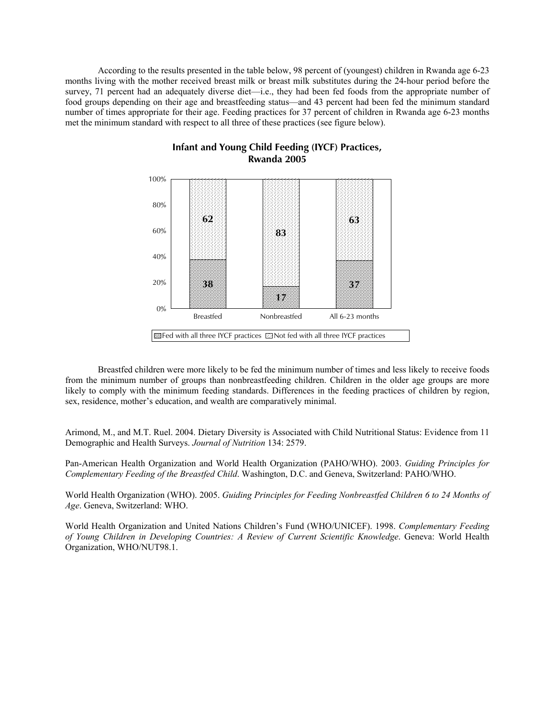According to the results presented in the table below, 98 percent of (youngest) children in Rwanda age 6-23 months living with the mother received breast milk or breast milk substitutes during the 24-hour period before the survey, 71 percent had an adequately diverse diet—i.e., they had been fed foods from the appropriate number of food groups depending on their age and breastfeeding status—and 43 percent had been fed the minimum standard number of times appropriate for their age. Feeding practices for 37 percent of children in Rwanda age 6-23 months met the minimum standard with respect to all three of these practices (see figure below).



**Infant and Young Child Feeding (IYCF) Practices, Rwanda 2005**

 Breastfed children were more likely to be fed the minimum number of times and less likely to receive foods from the minimum number of groups than nonbreastfeeding children. Children in the older age groups are more likely to comply with the minimum feeding standards. Differences in the feeding practices of children by region, sex, residence, mother's education, and wealth are comparatively minimal.

Arimond, M., and M.T. Ruel. 2004. Dietary Diversity is Associated with Child Nutritional Status: Evidence from 11 Demographic and Health Surveys. *Journal of Nutrition* 134: 2579.

Pan-American Health Organization and World Health Organization (PAHO/WHO). 2003. *Guiding Principles for Complementary Feeding of the Breastfed Child*. Washington, D.C. and Geneva, Switzerland: PAHO/WHO.

World Health Organization (WHO). 2005. *Guiding Principles for Feeding Nonbreastfed Children 6 to 24 Months of Age*. Geneva, Switzerland: WHO.

World Health Organization and United Nations Children's Fund (WHO/UNICEF). 1998. *Complementary Feeding of Young Children in Developing Countries: A Review of Current Scientific Knowledge*. Geneva: World Health Organization, WHO/NUT98.1.